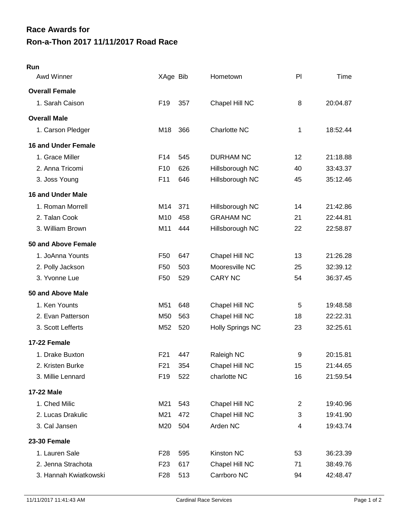## **Ron-a-Thon 2017 11/11/2017 Road Race Race Awards for**

| Run                        |                 |     |                         |                |          |
|----------------------------|-----------------|-----|-------------------------|----------------|----------|
| Awd Winner                 | XAge Bib        |     | Hometown                | PI             | Time     |
| <b>Overall Female</b>      |                 |     |                         |                |          |
| 1. Sarah Caison            | F <sub>19</sub> | 357 | Chapel Hill NC          | 8              | 20:04.87 |
| <b>Overall Male</b>        |                 |     |                         |                |          |
| 1. Carson Pledger          | M18             | 366 | <b>Charlotte NC</b>     | 1              | 18:52.44 |
| <b>16 and Under Female</b> |                 |     |                         |                |          |
| 1. Grace Miller            | F14             | 545 | <b>DURHAM NC</b>        | 12             | 21:18.88 |
| 2. Anna Tricomi            | F <sub>10</sub> | 626 | Hillsborough NC         | 40             | 33:43.37 |
| 3. Joss Young              | F <sub>11</sub> | 646 | Hillsborough NC         | 45             | 35:12.46 |
| <b>16 and Under Male</b>   |                 |     |                         |                |          |
| 1. Roman Morrell           | M14             | 371 | Hillsborough NC         | 14             | 21:42.86 |
| 2. Talan Cook              | M <sub>10</sub> | 458 | <b>GRAHAM NC</b>        | 21             | 22:44.81 |
| 3. William Brown           | M11             | 444 | Hillsborough NC         | 22             | 22:58.87 |
| 50 and Above Female        |                 |     |                         |                |          |
| 1. JoAnna Younts           | F <sub>50</sub> | 647 | Chapel Hill NC          | 13             | 21:26.28 |
| 2. Polly Jackson           | F <sub>50</sub> | 503 | Mooresville NC          | 25             | 32:39.12 |
| 3. Yvonne Lue              | F <sub>50</sub> | 529 | <b>CARY NC</b>          | 54             | 36:37.45 |
| 50 and Above Male          |                 |     |                         |                |          |
| 1. Ken Younts              | M51             | 648 | Chapel Hill NC          | 5              | 19:48.58 |
| 2. Evan Patterson          | M50             | 563 | Chapel Hill NC          | 18             | 22:22.31 |
| 3. Scott Lefferts          | M52             | 520 | <b>Holly Springs NC</b> | 23             | 32:25.61 |
| 17-22 Female               |                 |     |                         |                |          |
| 1. Drake Buxton            | F <sub>21</sub> | 447 | Raleigh NC              | 9              | 20:15.81 |
| 2. Kristen Burke           | F <sub>21</sub> | 354 | Chapel Hill NC          | 15             | 21:44.65 |
| 3. Millie Lennard          | F19             | 522 | charlotte NC            | 16             | 21:59.54 |
| 17-22 Male                 |                 |     |                         |                |          |
| 1. Ched Milic              | M21             | 543 | Chapel Hill NC          | $\overline{2}$ | 19:40.96 |
| 2. Lucas Drakulic          | M21             | 472 | Chapel Hill NC          | 3              | 19:41.90 |
| 3. Cal Jansen              | M20             | 504 | Arden NC                | 4              | 19:43.74 |
| <b>23-30 Female</b>        |                 |     |                         |                |          |
| 1. Lauren Sale             | F28             | 595 | Kinston NC              | 53             | 36:23.39 |
| 2. Jenna Strachota         | F <sub>23</sub> | 617 | Chapel Hill NC          | 71             | 38:49.76 |
| 3. Hannah Kwiatkowski      | F <sub>28</sub> | 513 | Carrboro NC             | 94             | 42:48.47 |